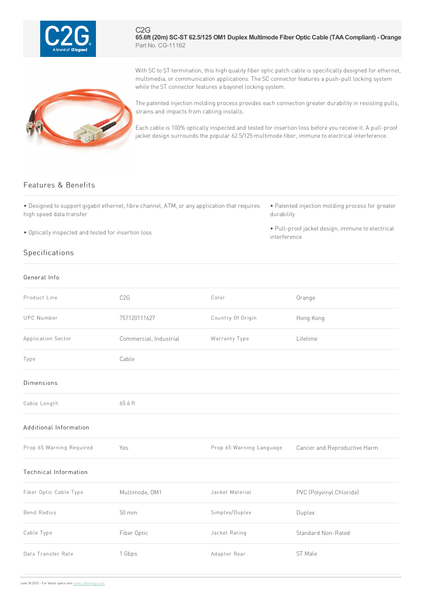

C2G **65.6ft (20m) SC-ST 62.5/125 OM1 Duplex Multimode Fiber Optic Cable (TAACompliant) - Orange** Part No. CG-11162

With SC to ST termination, this high quality fiber optic patch cable is specifically designed for ethernet, multimedia, or communication applications. The SC connector features a push-pull locking system while the ST connector features a bayonet locking system.

The patented injection molding process provides each connection greater durability in resisting pulls, strains and impacts from cabling installs.

Each cable is 100% optically inspected and tested for insertion loss before you receive it. A pull-proof jacket design surrounds the popular 62.5/125 multimode fiber, immune to electrical interference.

## Features & Benefits

• Designed to support gigabit ethernet, fibre channel, ATM, or any application that requires high speed data transfer

• Optically inspected and tested for insertion loss

## Specifications

## General Info

• Patented injection molding process for greater durability

• Pull-proof jacket design, immune to electrical interference

| Product Line                 | C2G                    | Color                    | Orange                       |
|------------------------------|------------------------|--------------------------|------------------------------|
| <b>UPC</b> Number            | 757120111627           | Country Of Origin        | Hong Kong                    |
| Application Sector           | Commercial, Industrial | Warranty Type            | Lifetime                     |
| Type                         | Cable                  |                          |                              |
| <b>Dimensions</b>            |                        |                          |                              |
| Cable Length                 | 65.6 ft                |                          |                              |
| Additional Information       |                        |                          |                              |
| Prop 65 Warning Required     | Yes                    | Prop 65 Warning Language | Cancer and Reproductive Harm |
| <b>Technical Information</b> |                        |                          |                              |
| Fiber Optic Cable Type       | Multimode, OM1         | Jacket Material          | PVC (Polyvinyl Chloride)     |
| <b>Bend Radius</b>           | 50 mm                  | Simplex/Duplex           | Duplex                       |
| Cable Type                   | Fiber Optic            | Jacket Rating            | Standard Non-Rated           |
| Data Transfer Rate           | 1 Gbps                 | Adapter Rear             | ST Male                      |